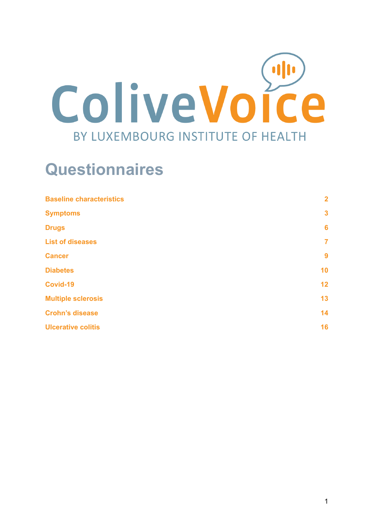

# **Questionnaires**

| <b>Baseline characteristics</b> | $\overline{2}$ |
|---------------------------------|----------------|
| <b>Symptoms</b>                 | $\mathbf{3}$   |
| <b>Drugs</b>                    | 6              |
| <b>List of diseases</b>         | $\overline{7}$ |
| <b>Cancer</b>                   | 9              |
| <b>Diabetes</b>                 | 10             |
| Covid-19                        | 12             |
| <b>Multiple sclerosis</b>       | 13             |
| <b>Crohn's disease</b>          | 14             |
| <b>Ulcerative colitis</b>       | 16             |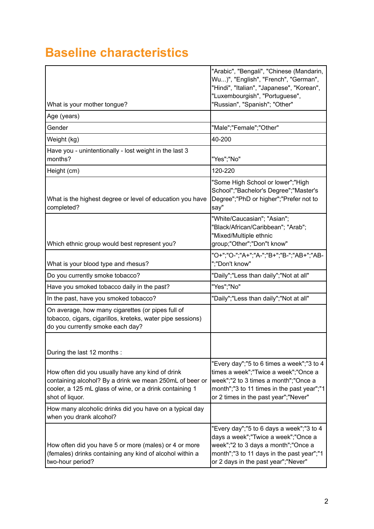### <span id="page-1-0"></span>**Baseline characteristics**

|                                                                                                                                                                                           | "Arabic", "Bengali", "Chinese (Mandarin,<br>Wu)", "English", "French", "German",<br>"Hindi", "Italian", "Japanese", "Korean",<br>"Luxembourgish", "Portuguese",                                                 |
|-------------------------------------------------------------------------------------------------------------------------------------------------------------------------------------------|-----------------------------------------------------------------------------------------------------------------------------------------------------------------------------------------------------------------|
| What is your mother tongue?                                                                                                                                                               | "Russian", "Spanish"; "Other"                                                                                                                                                                                   |
| Age (years)                                                                                                                                                                               |                                                                                                                                                                                                                 |
| Gender                                                                                                                                                                                    | "Male";"Female";"Other"                                                                                                                                                                                         |
| Weight (kg)                                                                                                                                                                               | 40-200                                                                                                                                                                                                          |
| Have you - unintentionally - lost weight in the last 3<br>months?                                                                                                                         | "Yes";"No"                                                                                                                                                                                                      |
| Height (cm)                                                                                                                                                                               | 120-220                                                                                                                                                                                                         |
| What is the highest degree or level of education you have<br>completed?                                                                                                                   | "Some High School or lower";"High<br>School";"Bachelor's Degree";"Master's<br>Degree";"PhD or higher";"Prefer not to<br>say"                                                                                    |
| Which ethnic group would best represent you?                                                                                                                                              | "White/Caucasian"; "Asian";<br>"Black/African/Caribbean"; "Arab";<br>"Mixed/Multiple ethnic<br>group;"Other";"Don"t know"                                                                                       |
| What is your blood type and rhesus?                                                                                                                                                       | "O+";"O-";"A+";"A-";"B+";"B-";"AB+";"AB-<br>";"Don't know"                                                                                                                                                      |
| Do you currently smoke tobacco?                                                                                                                                                           | "Daily";"Less than daily";"Not at all"                                                                                                                                                                          |
| Have you smoked tobacco daily in the past?                                                                                                                                                | "Yes";"No"                                                                                                                                                                                                      |
| In the past, have you smoked tobacco?                                                                                                                                                     | "Daily";"Less than daily";"Not at all"                                                                                                                                                                          |
| On average, how many cigarettes (or pipes full of<br>tobacco, cigars, cigarillos, kreteks, water pipe sessions)<br>do you currently smoke each day?                                       |                                                                                                                                                                                                                 |
| During the last 12 months :                                                                                                                                                               |                                                                                                                                                                                                                 |
| How often did you usually have any kind of drink<br>containing alcohol? By a drink we mean 250mL of beer or<br>cooler, a 125 mL glass of wine, or a drink containing 1<br>shot of liquor. | "Every day";"5 to 6 times a week";"3 to 4<br>times a week";"Twice a week";"Once a<br>week";"2 to 3 times a month";"Once a<br>month";"3 to 11 times in the past year";"1<br>or 2 times in the past year";"Never" |
| How many alcoholic drinks did you have on a typical day<br>when you drank alcohol?                                                                                                        |                                                                                                                                                                                                                 |
| How often did you have 5 or more (males) or 4 or more<br>(females) drinks containing any kind of alcohol within a<br>two-hour period?                                                     | "Every day";"5 to 6 days a week";"3 to 4<br>days a week";"Twice a week";"Once a<br>week";"2 to 3 days a month";"Once a<br>month";"3 to 11 days in the past year";"1<br>or 2 days in the past year";"Never"      |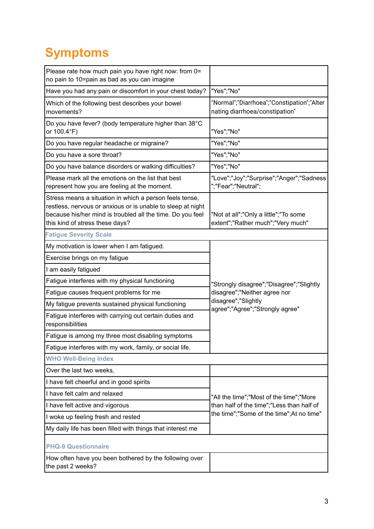# <span id="page-2-0"></span>**Symptoms**

| Please rate how much pain you have right now: from 0=<br>no pain to 10=pain as bad as you can imagine                                                                                                                   |                                                                              |  |
|-------------------------------------------------------------------------------------------------------------------------------------------------------------------------------------------------------------------------|------------------------------------------------------------------------------|--|
| Have you had any pain or discomfort in your chest today?                                                                                                                                                                | "Yes";"No"                                                                   |  |
| Which of the following best describes your bowel<br>movements?                                                                                                                                                          | "Normal";"Diarrhoea";"Constipation";"Alter<br>nating diarrhoea/constipation" |  |
| Do you have fever? (body temperature higher than 38°C<br>or 100.4°F)                                                                                                                                                    | "Yes";"No"                                                                   |  |
| Do you have regular headache or migraine?                                                                                                                                                                               | "Yes";"No"                                                                   |  |
| Do you have a sore throat?                                                                                                                                                                                              | "Yes";"No"                                                                   |  |
| Do you have balance disorders or walking difficulties?                                                                                                                                                                  | "Yes";"No"                                                                   |  |
| Please mark all the emotions on the list that best<br>represent how you are feeling at the moment.                                                                                                                      | "Love";"Joy";"Surprise";"Anger";"Sadness<br>";"Fear";"Neutral";              |  |
| Stress means a situation in which a person feels tense,<br>restless, nervous or anxious or is unable to sleep at night<br>because his/her mind is troubled all the time. Do you feel<br>this kind of stress these days? | "Not at all";"Only a little";"To some<br>extent";"Rather much";"Very much"   |  |
| <b>Fatigue Severity Scale</b>                                                                                                                                                                                           |                                                                              |  |
| My motivation is lower when I am fatigued.                                                                                                                                                                              |                                                                              |  |
| Exercise brings on my fatigue                                                                                                                                                                                           |                                                                              |  |
| I am easily fatigued                                                                                                                                                                                                    |                                                                              |  |
| Fatigue interferes with my physical functioning                                                                                                                                                                         | "Strongly disagree";"Disagree";"Slightly                                     |  |
| Fatigue causes frequent problems for me                                                                                                                                                                                 | disagree";"Neither agree nor                                                 |  |
| My fatigue prevents sustained physical functioning                                                                                                                                                                      | disagree","Slightly<br>agree";"Agree";"Strongly agree"                       |  |
| Fatigue interferes with carrying out certain duties and<br>responsibilities                                                                                                                                             |                                                                              |  |
| Fatigue is among my three most disabling symptoms                                                                                                                                                                       |                                                                              |  |
| Fatigue interferes with my work, family, or social life.                                                                                                                                                                |                                                                              |  |
| <b>WHO Well-Being Index</b>                                                                                                                                                                                             |                                                                              |  |
| Over the last two weeks,                                                                                                                                                                                                |                                                                              |  |
| I have felt cheerful and in good spirits                                                                                                                                                                                |                                                                              |  |
| I have felt calm and relaxed                                                                                                                                                                                            | "All the time";"Most of the time";"More                                      |  |
| than half of the time";"Less than half of<br>I have felt active and vigorous                                                                                                                                            |                                                                              |  |
| I woke up feeling fresh and rested                                                                                                                                                                                      | the time";"Some of the time";At no time"                                     |  |
| My daily life has been filled with things that interest me                                                                                                                                                              |                                                                              |  |
| <b>PHQ-9 Questionnaire</b>                                                                                                                                                                                              |                                                                              |  |
| How often have you been bothered by the following over<br>the past 2 weeks?                                                                                                                                             |                                                                              |  |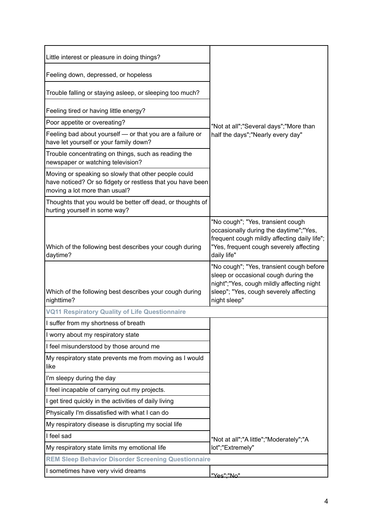| Little interest or pleasure in doing things?                                                                                                        |                                                                                                                                                                                       |
|-----------------------------------------------------------------------------------------------------------------------------------------------------|---------------------------------------------------------------------------------------------------------------------------------------------------------------------------------------|
| Feeling down, depressed, or hopeless                                                                                                                |                                                                                                                                                                                       |
| Trouble falling or staying asleep, or sleeping too much?                                                                                            |                                                                                                                                                                                       |
| Feeling tired or having little energy?                                                                                                              |                                                                                                                                                                                       |
| Poor appetite or overeating?                                                                                                                        | "Not at all";"Several days";"More than                                                                                                                                                |
| Feeling bad about yourself - or that you are a failure or<br>have let yourself or your family down?                                                 | half the days";"Nearly every day"                                                                                                                                                     |
| Trouble concentrating on things, such as reading the<br>newspaper or watching television?                                                           |                                                                                                                                                                                       |
| Moving or speaking so slowly that other people could<br>have noticed? Or so fidgety or restless that you have been<br>moving a lot more than usual? |                                                                                                                                                                                       |
| Thoughts that you would be better off dead, or thoughts of<br>hurting yourself in some way?                                                         |                                                                                                                                                                                       |
| Which of the following best describes your cough during<br>daytime?                                                                                 | "No cough"; "Yes, transient cough<br>occasionally during the daytime";"Yes,<br>frequent cough mildly affecting daily life";<br>"Yes, frequent cough severely affecting<br>daily life" |
|                                                                                                                                                     | "No cough"; "Yes, transient cough before                                                                                                                                              |
| Which of the following best describes your cough during<br>nighttime?                                                                               | sleep or occasional cough during the<br>night";"Yes, cough mildly affecting night<br>sleep"; "Yes, cough severely affecting<br>night sleep"                                           |
| <b>VQ11 Respiratory Quality of Life Questionnaire</b>                                                                                               |                                                                                                                                                                                       |
| I suffer from my shortness of breath                                                                                                                |                                                                                                                                                                                       |
| I worry about my respiratory state                                                                                                                  |                                                                                                                                                                                       |
| I feel misunderstood by those around me                                                                                                             |                                                                                                                                                                                       |
| My respiratory state prevents me from moving as I would<br>like                                                                                     |                                                                                                                                                                                       |
| I'm sleepy during the day                                                                                                                           |                                                                                                                                                                                       |
| I feel incapable of carrying out my projects.                                                                                                       |                                                                                                                                                                                       |
| I get tired quickly in the activities of daily living                                                                                               |                                                                                                                                                                                       |
| Physically I'm dissatisfied with what I can do                                                                                                      |                                                                                                                                                                                       |
| My respiratory disease is disrupting my social life                                                                                                 |                                                                                                                                                                                       |
| I feel sad                                                                                                                                          | "Not at all";"A little";"Moderately";"A                                                                                                                                               |
| My respiratory state limits my emotional life                                                                                                       | lot";"Extremely"                                                                                                                                                                      |
| <b>REM Sleep Behavior Disorder Screening Questionnaire</b>                                                                                          |                                                                                                                                                                                       |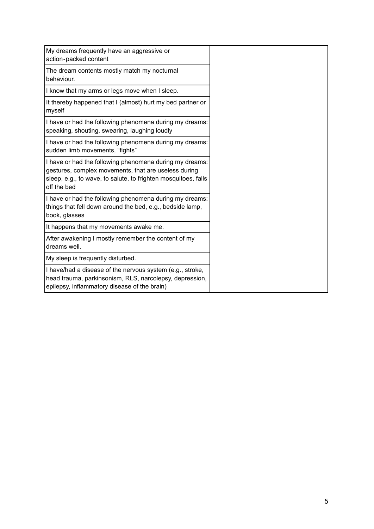| My dreams frequently have an aggressive or                                                                                                                                                       |
|--------------------------------------------------------------------------------------------------------------------------------------------------------------------------------------------------|
| action-packed content                                                                                                                                                                            |
| The dream contents mostly match my nocturnal<br>behaviour.                                                                                                                                       |
| I know that my arms or legs move when I sleep.                                                                                                                                                   |
| It thereby happened that I (almost) hurt my bed partner or<br>myself                                                                                                                             |
| I have or had the following phenomena during my dreams:<br>speaking, shouting, swearing, laughing loudly                                                                                         |
| I have or had the following phenomena during my dreams:<br>sudden limb movements, "fights"                                                                                                       |
| I have or had the following phenomena during my dreams:<br>gestures, complex movements, that are useless during<br>sleep, e.g., to wave, to salute, to frighten mosquitoes, falls<br>off the bed |
| I have or had the following phenomena during my dreams:<br>things that fell down around the bed, e.g., bedside lamp,<br>book, glasses                                                            |
| It happens that my movements awake me.                                                                                                                                                           |
| After awakening I mostly remember the content of my<br>dreams well.                                                                                                                              |
| My sleep is frequently disturbed.                                                                                                                                                                |
| I have/had a disease of the nervous system (e.g., stroke,<br>head trauma, parkinsonism, RLS, narcolepsy, depression,<br>epilepsy, inflammatory disease of the brain)                             |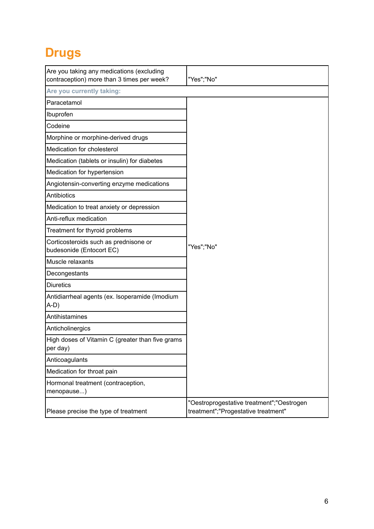# <span id="page-5-0"></span>**Drugs**

| Are you taking any medications (excluding<br>contraception) more than 3 times per week? | "Yes";"No"                                                                       |
|-----------------------------------------------------------------------------------------|----------------------------------------------------------------------------------|
| Are you currently taking:                                                               |                                                                                  |
| Paracetamol                                                                             |                                                                                  |
| Ibuprofen                                                                               |                                                                                  |
| Codeine                                                                                 |                                                                                  |
| Morphine or morphine-derived drugs                                                      |                                                                                  |
| Medication for cholesterol                                                              |                                                                                  |
| Medication (tablets or insulin) for diabetes                                            |                                                                                  |
| Medication for hypertension                                                             |                                                                                  |
| Angiotensin-converting enzyme medications                                               |                                                                                  |
| <b>Antibiotics</b>                                                                      |                                                                                  |
| Medication to treat anxiety or depression                                               |                                                                                  |
| Anti-reflux medication                                                                  |                                                                                  |
| Treatment for thyroid problems                                                          |                                                                                  |
| Corticosteroids such as prednisone or<br>budesonide (Entocort EC)                       | "Yes";"No"                                                                       |
| Muscle relaxants                                                                        |                                                                                  |
| Decongestants                                                                           |                                                                                  |
| <b>Diuretics</b>                                                                        |                                                                                  |
| Antidiarrheal agents (ex. Isoperamide (Imodium<br>A-D)                                  |                                                                                  |
| Antihistamines                                                                          |                                                                                  |
| Anticholinergics                                                                        |                                                                                  |
| High doses of Vitamin C (greater than five grams<br>per day)                            |                                                                                  |
| Anticoagulants                                                                          |                                                                                  |
| Medication for throat pain                                                              |                                                                                  |
| Hormonal treatment (contraception,<br>menopause)                                        |                                                                                  |
| Please precise the type of treatment                                                    | "Oestroprogestative treatment";"Oestrogen<br>treatment";"Progestative treatment" |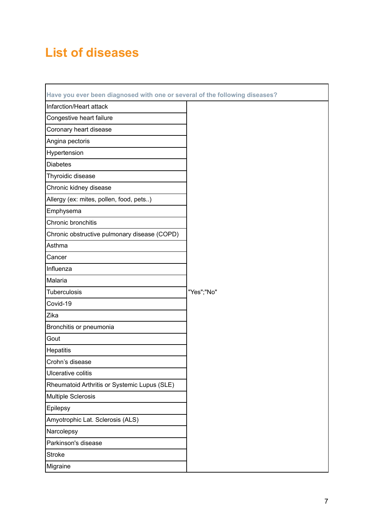### <span id="page-6-0"></span>**List of diseases**

| Have you ever been diagnosed with one or several of the following diseases? |            |
|-----------------------------------------------------------------------------|------------|
| Infarction/Heart attack                                                     |            |
| Congestive heart failure                                                    |            |
| Coronary heart disease                                                      |            |
| Angina pectoris                                                             |            |
| Hypertension                                                                |            |
| <b>Diabetes</b>                                                             |            |
| Thyroidic disease                                                           |            |
| Chronic kidney disease                                                      |            |
| Allergy (ex: mites, pollen, food, pets)                                     |            |
| Emphysema                                                                   |            |
| Chronic bronchitis                                                          |            |
| Chronic obstructive pulmonary disease (COPD)                                |            |
| Asthma                                                                      |            |
| Cancer                                                                      |            |
| Influenza                                                                   |            |
| Malaria                                                                     |            |
| <b>Tuberculosis</b>                                                         | "Yes";"No" |
| Covid-19                                                                    |            |
| Zika                                                                        |            |
| Bronchitis or pneumonia                                                     |            |
| Gout                                                                        |            |
| <b>Hepatitis</b>                                                            |            |
| Crohn's disease                                                             |            |
| Ulcerative colitis                                                          |            |
| Rheumatoid Arthritis or Systemic Lupus (SLE)                                |            |
| <b>Multiple Sclerosis</b>                                                   |            |
| Epilepsy                                                                    |            |
| Amyotrophic Lat. Sclerosis (ALS)                                            |            |
| Narcolepsy                                                                  |            |
| Parkinson's disease                                                         |            |
| <b>Stroke</b>                                                               |            |
| Migraine                                                                    |            |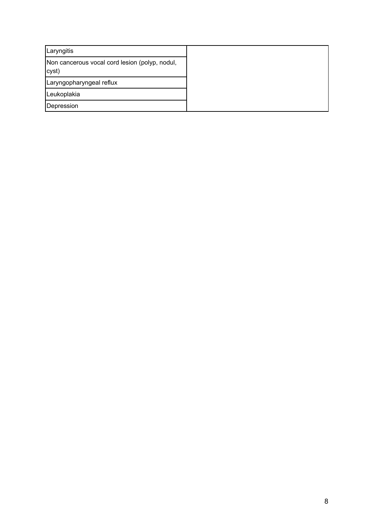| Laryngitis                                              |
|---------------------------------------------------------|
| Non cancerous vocal cord lesion (polyp, nodul,<br>cyst) |
| Laryngopharyngeal reflux                                |
| Leukoplakia                                             |
| Depression                                              |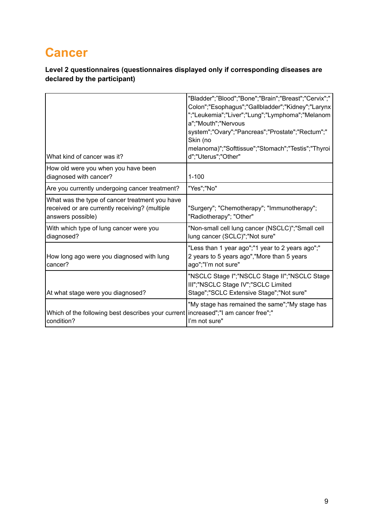# <span id="page-8-0"></span>**Cancer**

|                                                                                                                       | "Bladder";"Blood";"Bone";"Brain";"Breast";"Cervix";"<br>Colon";"Esophagus";"Gallbladder";"Kidney";"Larynx<br>";"Leukemia";"Liver";"Lung";"Lymphoma";"Melanom |
|-----------------------------------------------------------------------------------------------------------------------|--------------------------------------------------------------------------------------------------------------------------------------------------------------|
|                                                                                                                       | a";"Mouth";"Nervous<br>system";"Ovary";"Pancreas";"Prostate";"Rectum";"<br>Skin (no                                                                          |
| What kind of cancer was it?                                                                                           | melanoma)";"Softtissue";"Stomach";"Testis";"Thyroi<br>d";"Uterus";"Other"                                                                                    |
| How old were you when you have been<br>diagnosed with cancer?                                                         | $1 - 100$                                                                                                                                                    |
| Are you currently undergoing cancer treatment?                                                                        | "Yes";"No"                                                                                                                                                   |
| What was the type of cancer treatment you have<br>received or are currently receiving? (multiple<br>answers possible) | "Surgery"; "Chemotherapy"; "Immunotherapy";<br>"Radiotherapy"; "Other"                                                                                       |
| With which type of lung cancer were you<br>diagnosed?                                                                 | "Non-small cell lung cancer (NSCLC)";"Small cell<br>lung cancer (SCLC)"; "Not sure"                                                                          |
| How long ago were you diagnosed with lung<br>cancer?                                                                  | "Less than 1 year ago";"1 year to 2 years ago";"<br>2 years to 5 years ago", "More than 5 years<br>ago";"I'm not sure"                                       |
| At what stage were you diagnosed?                                                                                     | "NSCLC Stage I";"NSCLC Stage II";"NSCLC Stage<br>III";"NSCLC Stage IV";"SCLC Limited<br>Stage";"SCLC Extensive Stage";"Not sure"                             |
| Which of the following best describes your current increased";"I am cancer free";"<br>condition?                      | "My stage has remained the same";"My stage has<br>I'm not sure"                                                                                              |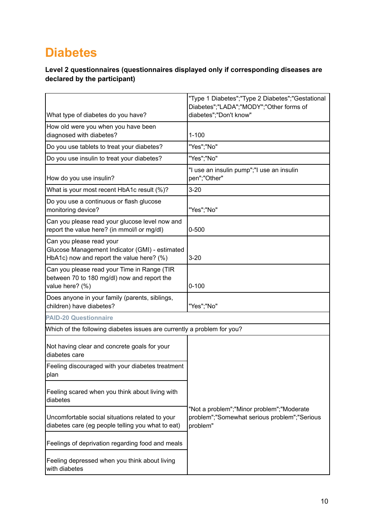## <span id="page-9-0"></span>**Diabetes**

|                                                                                                                         | "Type 1 Diabetes";"Type 2 Diabetes";"Gestational<br>Diabetes";"LADA";"MODY";"Other forms of           |
|-------------------------------------------------------------------------------------------------------------------------|-------------------------------------------------------------------------------------------------------|
| What type of diabetes do you have?                                                                                      | diabetes";"Don't know"                                                                                |
| How old were you when you have been<br>diagnosed with diabetes?                                                         | $1 - 100$                                                                                             |
| Do you use tablets to treat your diabetes?                                                                              | "Yes";"No"                                                                                            |
| Do you use insulin to treat your diabetes?                                                                              | "Yes";"No"                                                                                            |
| How do you use insulin?                                                                                                 | "I use an insulin pump";"I use an insulin<br>pen";"Other"                                             |
| What is your most recent HbA1c result (%)?                                                                              | $3 - 20$                                                                                              |
| Do you use a continuous or flash glucose<br>monitoring device?                                                          | "Yes";"No"                                                                                            |
| Can you please read your glucose level now and<br>report the value here? (in mmol/l or mg/dl)                           | $0 - 500$                                                                                             |
| Can you please read your<br>Glucose Management Indicator (GMI) - estimated<br>HbA1c) now and report the value here? (%) | $3 - 20$                                                                                              |
| Can you please read your Time in Range (TIR<br>between 70 to 180 mg/dl) now and report the<br>value here? (%)           | $0 - 100$                                                                                             |
| Does anyone in your family (parents, siblings,<br>children) have diabetes?                                              | "Yes";"No"                                                                                            |
| <b>PAID-20 Questionnaire</b>                                                                                            |                                                                                                       |
| Which of the following diabetes issues are currently a problem for you?                                                 |                                                                                                       |
| Not having clear and concrete goals for your<br>diabetes care                                                           |                                                                                                       |
| Feeling discouraged with your diabetes treatment<br>plan                                                                |                                                                                                       |
| Feeling scared when you think about living with<br>diabetes                                                             |                                                                                                       |
| Uncomfortable social situations related to your<br>diabetes care (eg people telling you what to eat)                    | "Not a problem";"Minor problem";"Moderate<br>problem";"Somewhat serious problem";"Serious<br>problem" |
| Feelings of deprivation regarding food and meals                                                                        |                                                                                                       |
| Feeling depressed when you think about living<br>with diabetes                                                          |                                                                                                       |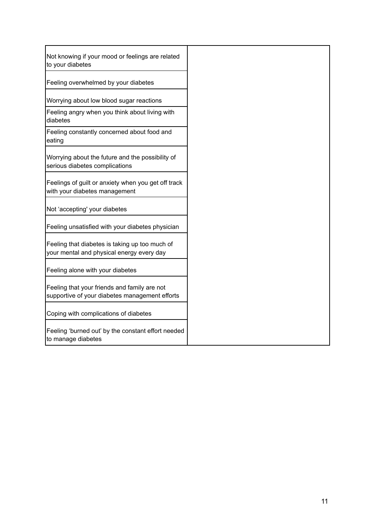| Not knowing if your mood or feelings are related<br>to your diabetes                           |
|------------------------------------------------------------------------------------------------|
| Feeling overwhelmed by your diabetes                                                           |
| Worrying about low blood sugar reactions                                                       |
| Feeling angry when you think about living with<br>diabetes                                     |
| Feeling constantly concerned about food and<br>eating                                          |
| Worrying about the future and the possibility of<br>serious diabetes complications             |
| Feelings of guilt or anxiety when you get off track<br>with your diabetes management           |
| Not 'accepting' your diabetes                                                                  |
| Feeling unsatisfied with your diabetes physician                                               |
| Feeling that diabetes is taking up too much of<br>your mental and physical energy every day    |
| Feeling alone with your diabetes                                                               |
| Feeling that your friends and family are not<br>supportive of your diabetes management efforts |
| Coping with complications of diabetes                                                          |
| Feeling 'burned out' by the constant effort needed<br>to manage diabetes                       |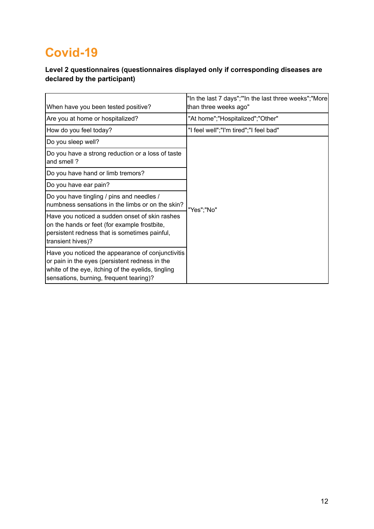# <span id="page-11-0"></span>**Covid-19**

| When have you been tested positive?                                                                                                                                                                  | "In the last 7 days";"'In the last three weeks";"More<br>than three weeks ago" |
|------------------------------------------------------------------------------------------------------------------------------------------------------------------------------------------------------|--------------------------------------------------------------------------------|
| Are you at home or hospitalized?                                                                                                                                                                     | "At home";"Hospitalized";"Other"                                               |
| How do you feel today?                                                                                                                                                                               | "I feel well";"I'm tired";"I feel bad"                                         |
| Do you sleep well?                                                                                                                                                                                   |                                                                                |
| Do you have a strong reduction or a loss of taste<br>and smell?                                                                                                                                      |                                                                                |
| Do you have hand or limb tremors?                                                                                                                                                                    |                                                                                |
| Do you have ear pain?                                                                                                                                                                                |                                                                                |
| Do you have tingling / pins and needles /<br>numbness sensations in the limbs or on the skin?                                                                                                        | "Yes";"No"                                                                     |
| Have you noticed a sudden onset of skin rashes<br>on the hands or feet (for example frostbite,<br>persistent redness that is sometimes painful,<br>transient hives)?                                 |                                                                                |
| Have you noticed the appearance of conjunctivitis<br>or pain in the eyes (persistent redness in the<br>white of the eye, itching of the eyelids, tingling<br>sensations, burning, frequent tearing)? |                                                                                |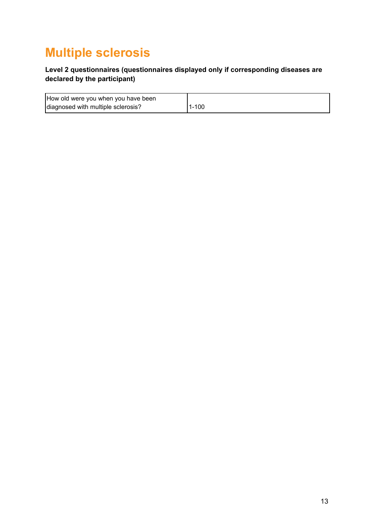## <span id="page-12-0"></span>**Multiple sclerosis**

| How old were you when you have been |           |
|-------------------------------------|-----------|
| diagnosed with multiple sclerosis?  | $1 - 100$ |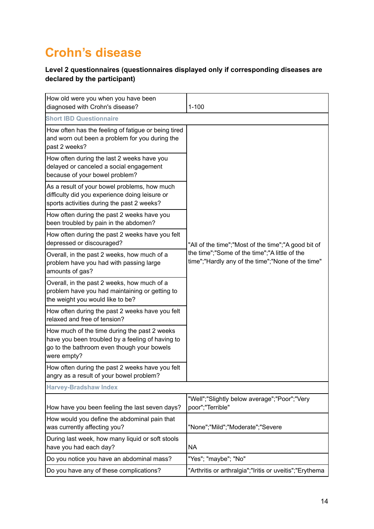# <span id="page-13-0"></span>**Crohn's disease**

| How old were you when you have been<br>diagnosed with Crohn's disease?                                                                                        | $1 - 100$                                                                                                                                                 |  |
|---------------------------------------------------------------------------------------------------------------------------------------------------------------|-----------------------------------------------------------------------------------------------------------------------------------------------------------|--|
| <b>Short IBD Questionnaire</b>                                                                                                                                |                                                                                                                                                           |  |
| How often has the feeling of fatigue or being tired<br>and worn out been a problem for you during the<br>past 2 weeks?                                        | "All of the time";"Most of the time";"A good bit of<br>the time";"Some of the time";"A little of the<br>time";"Hardly any of the time";"None of the time" |  |
| How often during the last 2 weeks have you<br>delayed or canceled a social engagement<br>because of your bowel problem?                                       |                                                                                                                                                           |  |
| As a result of your bowel problems, how much<br>difficulty did you experience doing leisure or<br>sports activities during the past 2 weeks?                  |                                                                                                                                                           |  |
| How often during the past 2 weeks have you<br>been troubled by pain in the abdomen?                                                                           |                                                                                                                                                           |  |
| How often during the past 2 weeks have you felt<br>depressed or discouraged?                                                                                  |                                                                                                                                                           |  |
| Overall, in the past 2 weeks, how much of a<br>problem have you had with passing large<br>amounts of gas?                                                     |                                                                                                                                                           |  |
| Overall, in the past 2 weeks, how much of a<br>problem have you had maintaining or getting to<br>the weight you would like to be?                             |                                                                                                                                                           |  |
| How often during the past 2 weeks have you felt<br>relaxed and free of tension?                                                                               |                                                                                                                                                           |  |
| How much of the time during the past 2 weeks<br>have you been troubled by a feeling of having to<br>go to the bathroom even though your bowels<br>were empty? |                                                                                                                                                           |  |
| How often during the past 2 weeks have you felt<br>angry as a result of your bowel problem?                                                                   |                                                                                                                                                           |  |
| <b>Harvey-Bradshaw Index</b>                                                                                                                                  |                                                                                                                                                           |  |
| How have you been feeling the last seven days?                                                                                                                | "Well";"Slightly below average";"Poor";"Very<br>poor";"Terrible"                                                                                          |  |
| How would you define the abdominal pain that<br>was currently affecting you?                                                                                  | "None";"Mild";"Moderate";"Severe                                                                                                                          |  |
| During last week, how many liquid or soft stools<br>have you had each day?                                                                                    | <b>NA</b>                                                                                                                                                 |  |
| Do you notice you have an abdominal mass?                                                                                                                     | "Yes"; "maybe"; "No"                                                                                                                                      |  |
| Do you have any of these complications?                                                                                                                       | "Arthritis or arthralgia";"Iritis or uveitis";"Erythema                                                                                                   |  |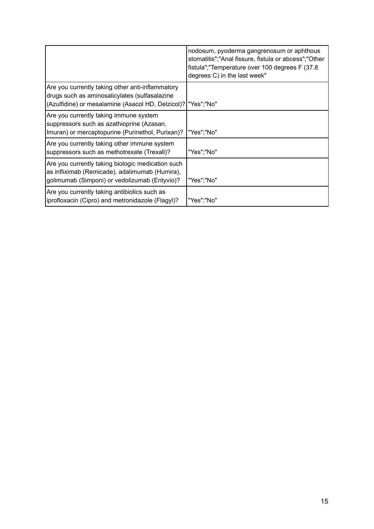|                                                                                                                                                                      | nodosum, pyoderma gangrenosum or aphthous<br>stomatitis";"Anal fissure, fistula or abcess";"Other<br>fistula"; "Temperature over 100 degrees F (37.8)<br>degrees C) in the last week" |
|----------------------------------------------------------------------------------------------------------------------------------------------------------------------|---------------------------------------------------------------------------------------------------------------------------------------------------------------------------------------|
| Are you currently taking other anti-inflammatory<br>drugs such as aminosalicylates (sulfasalazine<br>(Azulfidine) or mesalamine (Asacol HD, Delzicol)?   "Yes"; "No" |                                                                                                                                                                                       |
| Are you currently taking immune system<br>suppressors such as azathioprine (Azasan,<br>Imuran) or mercaptopurine (Purinethol, Purixan)?                              | "Yes";"No"                                                                                                                                                                            |
| Are you currently taking other immune system<br>suppressors such as methotrexate (Trexall)?                                                                          | "Yes";"No"                                                                                                                                                                            |
| Are you currently taking biologic medication such<br>as infliximab (Remicade), adalimumab (Humira),<br>golimumab (Simponi) or vedolizumab (Entyvio)?                 | "Yes";"No"                                                                                                                                                                            |
| Are you currently taking antibiotics such as<br>iprofloxacin (Cipro) and metronidazole (Flagyl)?                                                                     | "Yes";"No"                                                                                                                                                                            |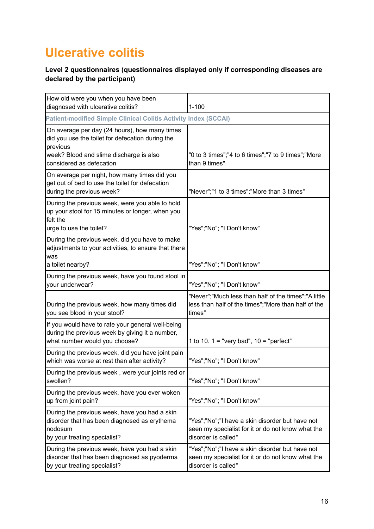# <span id="page-15-0"></span>**Ulcerative colitis**

| How old were you when you have been<br>diagnosed with ulcerative colitis?                                                                | $1 - 100$                                                                                                                   |
|------------------------------------------------------------------------------------------------------------------------------------------|-----------------------------------------------------------------------------------------------------------------------------|
| <b>Patient-modified Simple Clinical Colitis Activity Index (SCCAI)</b>                                                                   |                                                                                                                             |
| On average per day (24 hours), how many times<br>did you use the toilet for defecation during the<br>previous                            |                                                                                                                             |
| week? Blood and slime discharge is also<br>considered as defecation                                                                      | "0 to 3 times";"4 to 6 times";"7 to 9 times";"More<br>than 9 times"                                                         |
| On average per night, how many times did you<br>get out of bed to use the toilet for defecation<br>during the previous week?             | "Never";"1 to 3 times";"More than 3 times"                                                                                  |
| During the previous week, were you able to hold<br>up your stool for 15 minutes or longer, when you<br>felt the                          |                                                                                                                             |
| urge to use the toilet?                                                                                                                  | "Yes";"No"; "I Don't know"                                                                                                  |
| During the previous week, did you have to make<br>adjustments to your activities, to ensure that there<br>was                            |                                                                                                                             |
| a toilet nearby?                                                                                                                         | "Yes";"No"; "I Don't know"                                                                                                  |
| During the previous week, have you found stool in<br>your underwear?                                                                     | "Yes";"No"; "I Don't know"                                                                                                  |
| During the previous week, how many times did<br>you see blood in your stool?                                                             | "Never";"Much less than half of the times";"A little<br>less than half of the times";"More than half of the<br>times"       |
| If you would have to rate your general well-being<br>during the previous week by giving it a number,<br>what number would you choose?    | 1 to 10. $1 =$ "very bad", $10 =$ "perfect"                                                                                 |
| During the previous week, did you have joint pain<br>which was worse at rest than after activity?                                        | "Yes";"No"; "I Don't know"                                                                                                  |
| During the previous week, were your joints red or<br>swollen?                                                                            | "Yes";"No"; "I Don't know"                                                                                                  |
| During the previous week, have you ever woken<br>up from joint pain?                                                                     | "Yes";"No"; "I Don't know"                                                                                                  |
| During the previous week, have you had a skin<br>disorder that has been diagnosed as erythema<br>nodosum<br>by your treating specialist? | "Yes";"No";"I have a skin disorder but have not<br>seen my specialist for it or do not know what the<br>disorder is called" |
| During the previous week, have you had a skin<br>disorder that has been diagnosed as pyoderma<br>by your treating specialist?            | "Yes";"No";"I have a skin disorder but have not<br>seen my specialist for it or do not know what the<br>disorder is called" |